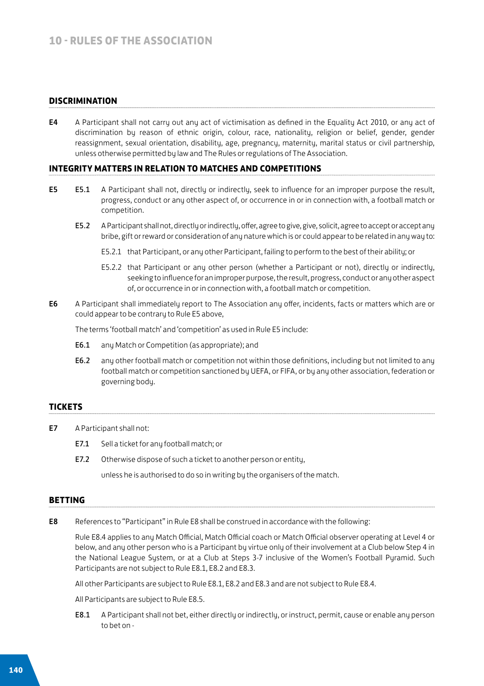### **DISCRIMINATION**

E4 A Participant shall not carry out any act of victimisation as defined in the Equality Act 2010, or any act of discrimination by reason of ethnic origin, colour, race, nationality, religion or belief, gender, gender reassignment, sexual orientation, disability, age, pregnancy, maternity, marital status or civil partnership, unless otherwise permitted by law and The Rules or regulations of The Association.

#### **INTEGRITY MATTERS IN RELATION TO MATCHES AND COMPETITIONS**

- E5 E5.1 A Participant shall not, directly or indirectly, seek to influence for an improper purpose the result, progress, conduct or any other aspect of, or occurrence in or in connection with, a football match or competition.
	- E5.2 A Participant shall not, directly or indirectly, offer, agree to give, give, solicit, agree to accept or accept any bribe, gift or reward or consideration of any nature which is or could appear to be related in any way to:
		- E5.2.1 that Participant, or any other Participant, failing to perform to the best of their ability; or
		- E5.2.2 that Participant or any other person (whether a Participant or not), directly or indirectly, seeking to influence for an improper purpose, the result, progress, conduct or any other aspect of, or occurrence in or in connection with, a football match or competition.
- E6 A Participant shall immediately report to The Association any offer, incidents, facts or matters which are or could appear to be contrary to Rule E5 above,

The terms 'football match' and 'competition' as used in Rule E5 include:

- E6.1 any Match or Competition (as appropriate); and
- E6.2 any other football match or competition not within those definitions, including but not limited to any football match or competition sanctioned by UEFA, or FIFA, or by any other association, federation or governing body.

#### **TICKETS**

- E7 A Participant shall not:
	- E7.1 Sell a ticket for any football match; or
	- E7.2 Otherwise dispose of such a ticket to another person or entity,

unless he is authorised to do so in writing by the organisers of the match.

## **BETTING**

E8 References to "Participant" in Rule E8 shall be construed in accordance with the following:

Rule E8.4 applies to any Match Official, Match Official coach or Match Official observer operating at Level 4 or below, and any other person who is a Participant by virtue only of their involvement at a Club below Step 4 in the National League System, or at a Club at Steps 3-7 inclusive of the Women's Football Pyramid. Such Participants are not subject to Rule E8.1, E8.2 and E8.3.

All other Participants are subject to Rule E8.1, E8.2 and E8.3 and are not subject to Rule E8.4.

All Participants are subject to Rule E8.5.

E8.1 A Participant shall not bet, either directly or indirectly, or instruct, permit, cause or enable any person to bet on -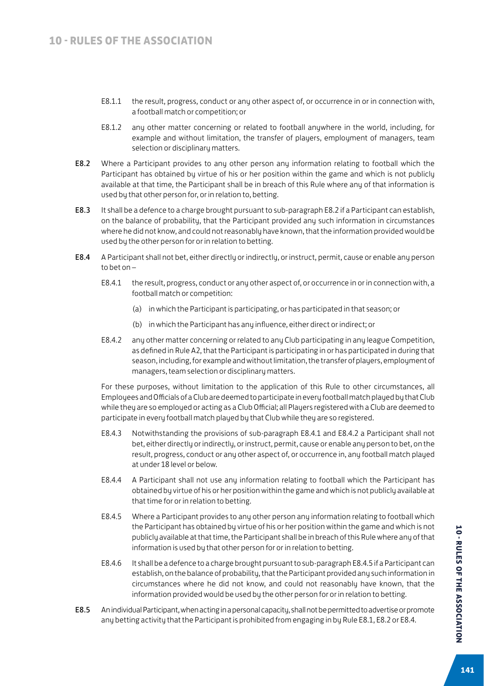- E8.1.1 the result, progress, conduct or any other aspect of, or occurrence in or in connection with, a football match or competition; or
- E8.1.2 any other matter concerning or related to football anywhere in the world, including, for example and without limitation, the transfer of players, employment of managers, team selection or disciplinary matters.
- E8.2 Where a Participant provides to any other person any information relating to football which the Participant has obtained by virtue of his or her position within the game and which is not publicly available at that time, the Participant shall be in breach of this Rule where any of that information is used by that other person for, or in relation to, betting.
- E8.3 It shall be a defence to a charge brought pursuant to sub-paragraph E8.2 if a Participant can establish, on the balance of probability, that the Participant provided any such information in circumstances where he did not know, and could not reasonably have known, that the information provided would be used by the other person for or in relation to betting.
- E8.4 A Participant shall not bet, either directly or indirectly, or instruct, permit, cause or enable any person to bet on –
	- E8.4.1 the result, progress, conduct or any other aspect of, or occurrence in or in connection with, a football match or competition:
		- (a) in which the Participant is participating, or has participated in that season; or
		- (b) in which the Participant has any influence, either direct or indirect; or
	- E8.4.2 any other matter concerning or related to any Club participating in any league Competition, as defined in Rule A2, that the Participant is participating in or has participated in during that season, including, for example and without limitation, the transfer of players, employment of managers, team selection or disciplinary matters.

For these purposes, without limitation to the application of this Rule to other circumstances, all Employees and Officials of a Club are deemed to participate in every football match played by that Club while they are so employed or acting as a Club Official; all Players registered with a Club are deemed to participate in every football match played by that Club while they are so registered.

- E8.4.3 Notwithstanding the provisions of sub-paragraph E8.4.1 and E8.4.2 a Participant shall not bet, either directly or indirectly, or instruct, permit, cause or enable any person to bet, on the result, progress, conduct or any other aspect of, or occurrence in, any football match played at under 18 level or below.
- E8.4.4 A Participant shall not use any information relating to football which the Participant has obtained by virtue of his or her position within the game and which is not publicly available at that time for or in relation to betting.
- E8.4.5 Where a Participant provides to any other person any information relating to football which the Participant has obtained by virtue of his or her position within the game and which is not publicly available at that time, the Participant shall be in breach of this Rule where any of that information is used by that other person for or in relation to betting.
- E8.4.6 It shall be a defence to a charge brought pursuant to sub-paragraph E8.4.5 if a Participant can establish, on the balance of probability, that the Participant provided any such information in circumstances where he did not know, and could not reasonably have known, that the information provided would be used by the other person for or in relation to betting.
- E8.5 An individual Participant, when acting in a personal capacity, shall not be permitted to advertise or promote any betting activity that the Participant is prohibited from engaging in by Rule E8.1, E8.2 or E8.4.